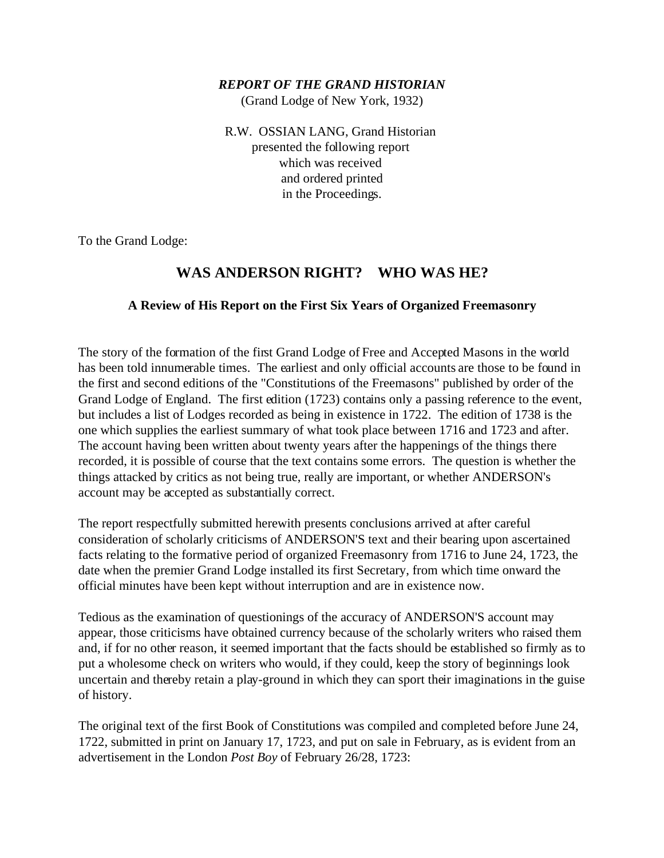#### *REPORT OF THE GRAND HISTORIAN*

(Grand Lodge of New York, 1932)

R.W. OSSIAN LANG, Grand Historian presented the following report which was received and ordered printed in the Proceedings.

To the Grand Lodge:

# **WAS ANDERSON RIGHT? WHO WAS HE?**

#### **A Review of His Report on the First Six Years of Organized Freemasonry**

The story of the formation of the first Grand Lodge of Free and Accepted Masons in the world has been told innumerable times. The earliest and only official accounts are those to be found in the first and second editions of the "Constitutions of the Freemasons" published by order of the Grand Lodge of England. The first edition (1723) contains only a passing reference to the event, but includes a list of Lodges recorded as being in existence in 1722. The edition of 1738 is the one which supplies the earliest summary of what took place between 1716 and 1723 and after. The account having been written about twenty years after the happenings of the things there recorded, it is possible of course that the text contains some errors. The question is whether the things attacked by critics as not being true, really are important, or whether ANDERSON's account may be accepted as substantially correct.

The report respectfully submitted herewith presents conclusions arrived at after careful consideration of scholarly criticisms of ANDERSON'S text and their bearing upon ascertained facts relating to the formative period of organized Freemasonry from 1716 to June 24, 1723, the date when the premier Grand Lodge installed its first Secretary, from which time onward the official minutes have been kept without interruption and are in existence now.

Tedious as the examination of questionings of the accuracy of ANDERSON'S account may appear, those criticisms have obtained currency because of the scholarly writers who raised them and, if for no other reason, it seemed important that the facts should be established so firmly as to put a wholesome check on writers who would, if they could, keep the story of beginnings look uncertain and thereby retain a play-ground in which they can sport their imaginations in the guise of history.

The original text of the first Book of Constitutions was compiled and completed before June 24, 1722, submitted in print on January 17, 1723, and put on sale in February, as is evident from an advertisement in the London *Post Boy* of February 26/28, 1723: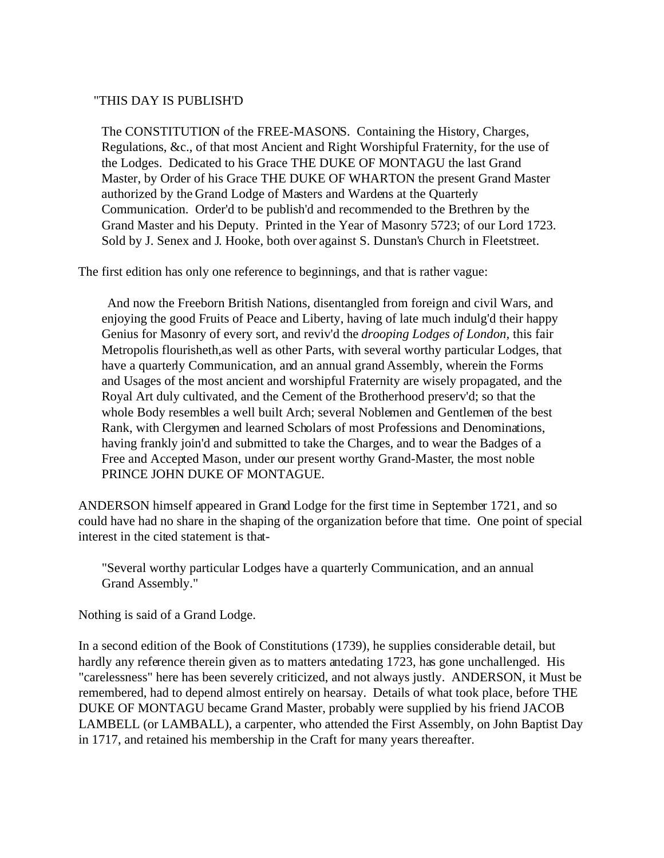### "THIS DAY IS PUBLISH'D

The CONSTITUTION of the FREE-MASONS. Containing the History, Charges, Regulations, &c., of that most Ancient and Right Worshipful Fraternity, for the use of the Lodges. Dedicated to his Grace THE DUKE OF MONTAGU the last Grand Master, by Order of his Grace THE DUKE OF WHARTON the present Grand Master authorized by the Grand Lodge of Masters and Wardens at the Quarterly Communication. Order'd to be publish'd and recommended to the Brethren by the Grand Master and his Deputy. Printed in the Year of Masonry 5723; of our Lord 1723. Sold by J. Senex and J. Hooke, both over against S. Dunstan's Church in Fleetstreet.

The first edition has only one reference to beginnings, and that is rather vague:

 And now the Freeborn British Nations, disentangled from foreign and civil Wars, and enjoying the good Fruits of Peace and Liberty, having of late much indulg'd their happy Genius for Masonry of every sort, and reviv'd the *drooping Lodges of London,* this fair Metropolis flourisheth,as well as other Parts, with several worthy particular Lodges, that have a quarterly Communication, and an annual grand Assembly, wherein the Forms and Usages of the most ancient and worshipful Fraternity are wisely propagated, and the Royal Art duly cultivated, and the Cement of the Brotherhood preserv'd; so that the whole Body resembles a well built Arch; several Noblemen and Gentlemen of the best Rank, with Clergymen and learned Scholars of most Professions and Denominations, having frankly join'd and submitted to take the Charges, and to wear the Badges of a Free and Accepted Mason, under our present worthy Grand-Master, the most noble PRINCE JOHN DUKE OF MONTAGUE.

ANDERSON himself appeared in Grand Lodge for the first time in September 1721, and so could have had no share in the shaping of the organization before that time. One point of special interest in the cited statement is that-

"Several worthy particular Lodges have a quarterly Communication, and an annual Grand Assembly."

Nothing is said of a Grand Lodge.

In a second edition of the Book of Constitutions (1739), he supplies considerable detail, but hardly any reference therein given as to matters antedating 1723, has gone unchallenged. His "carelessness" here has been severely criticized, and not always justly. ANDERSON, it Must be remembered, had to depend almost entirely on hearsay. Details of what took place, before THE DUKE OF MONTAGU became Grand Master, probably were supplied by his friend JACOB LAMBELL (or LAMBALL), a carpenter, who attended the First Assembly, on John Baptist Day in 1717, and retained his membership in the Craft for many years thereafter.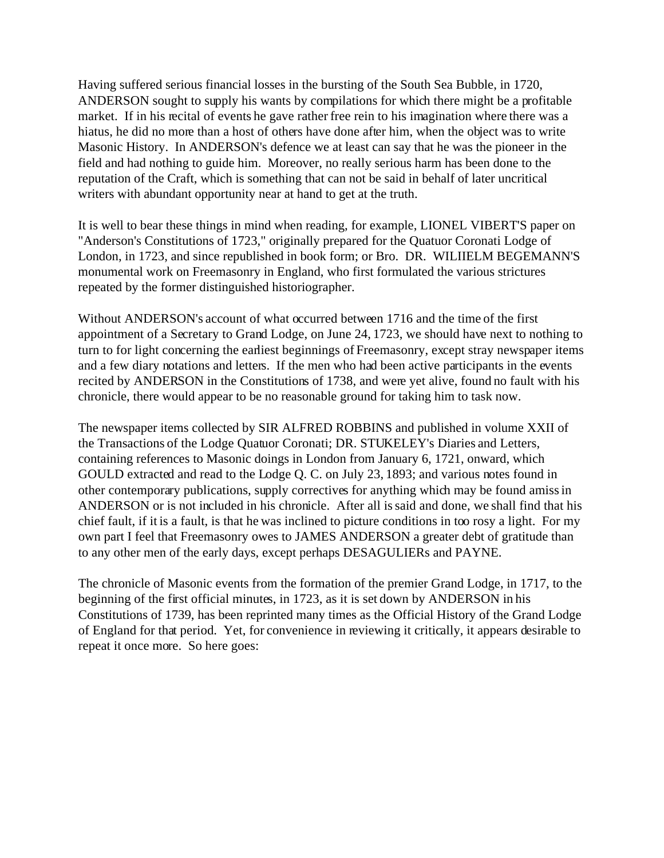Having suffered serious financial losses in the bursting of the South Sea Bubble, in 1720, ANDERSON sought to supply his wants by compilations for which there might be a profitable market. If in his recital of events he gave rather free rein to his imagination where there was a hiatus, he did no more than a host of others have done after him, when the object was to write Masonic History. In ANDERSON's defence we at least can say that he was the pioneer in the field and had nothing to guide him. Moreover, no really serious harm has been done to the reputation of the Craft, which is something that can not be said in behalf of later uncritical writers with abundant opportunity near at hand to get at the truth.

It is well to bear these things in mind when reading, for example, LIONEL VIBERT'S paper on "Anderson's Constitutions of 1723," originally prepared for the Quatuor Coronati Lodge of London, in 1723, and since republished in book form; or Bro. DR. WILIIELM BEGEMANN'S monumental work on Freemasonry in England, who first formulated the various strictures repeated by the former distinguished historiographer.

Without ANDERSON's account of what occurred between 1716 and the time of the first appointment of a Secretary to Grand Lodge, on June 24, 1723, we should have next to nothing to turn to for light concerning the earliest beginnings of Freemasonry, except stray newspaper items and a few diary notations and letters. If the men who had been active participants in the events recited by ANDERSON in the Constitutions of 1738, and were yet alive, found no fault with his chronicle, there would appear to be no reasonable ground for taking him to task now.

The newspaper items collected by SIR ALFRED ROBBINS and published in volume XXII of the Transactions of the Lodge Quatuor Coronati; DR. STUKELEY's Diaries and Letters, containing references to Masonic doings in London from January 6, 1721, onward, which GOULD extracted and read to the Lodge Q. C. on July 23, 1893; and various notes found in other contemporary publications, supply correctives for anything which may be found amiss in ANDERSON or is not included in his chronicle. After all is said and done, we shall find that his chief fault, if it is a fault, is that he was inclined to picture conditions in too rosy a light. For my own part I feel that Freemasonry owes to JAMES ANDERSON a greater debt of gratitude than to any other men of the early days, except perhaps DESAGULIERs and PAYNE.

The chronicle of Masonic events from the formation of the premier Grand Lodge, in 1717, to the beginning of the first official minutes, in 1723, as it is set down by ANDERSON in his Constitutions of 1739, has been reprinted many times as the Official History of the Grand Lodge of England for that period. Yet, for convenience in reviewing it critically, it appears desirable to repeat it once more. So here goes: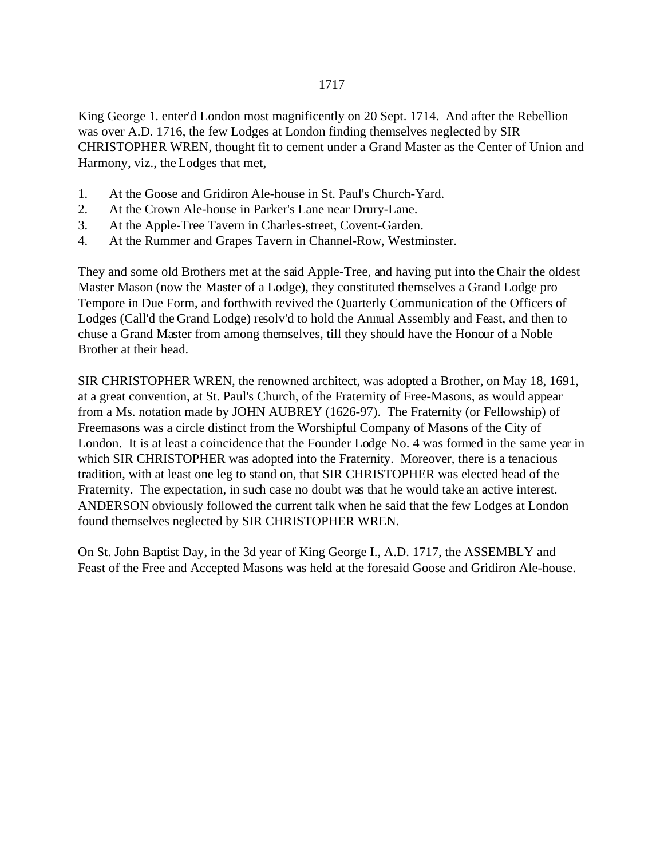King George 1. enter'd London most magnificently on 20 Sept. 1714. And after the Rebellion was over A.D. 1716, the few Lodges at London finding themselves neglected by SIR CHRISTOPHER WREN, thought fit to cement under a Grand Master as the Center of Union and Harmony, viz., the Lodges that met,

- 1. At the Goose and Gridiron Ale-house in St. Paul's Church-Yard.
- 2. At the Crown Ale-house in Parker's Lane near Drury-Lane.
- 3. At the Apple-Tree Tavern in Charles-street, Covent-Garden.
- 4. At the Rummer and Grapes Tavern in Channel-Row, Westminster.

They and some old Brothers met at the said Apple-Tree, and having put into the Chair the oldest Master Mason (now the Master of a Lodge), they constituted themselves a Grand Lodge pro Tempore in Due Form, and forthwith revived the Quarterly Communication of the Officers of Lodges (Call'd the Grand Lodge) resolv'd to hold the Annual Assembly and Feast, and then to chuse a Grand Master from among themselves, till they should have the Honour of a Noble Brother at their head.

SIR CHRISTOPHER WREN, the renowned architect, was adopted a Brother, on May 18, 1691, at a great convention, at St. Paul's Church, of the Fraternity of Free-Masons, as would appear from a Ms. notation made by JOHN AUBREY (1626-97). The Fraternity (or Fellowship) of Freemasons was a circle distinct from the Worshipful Company of Masons of the City of London. It is at least a coincidence that the Founder Lodge No. 4 was formed in the same year in which SIR CHRISTOPHER was adopted into the Fraternity. Moreover, there is a tenacious tradition, with at least one leg to stand on, that SIR CHRISTOPHER was elected head of the Fraternity. The expectation, in such case no doubt was that he would take an active interest. ANDERSON obviously followed the current talk when he said that the few Lodges at London found themselves neglected by SIR CHRISTOPHER WREN.

On St. John Baptist Day, in the 3d year of King George I., A.D. 1717, the ASSEMBLY and Feast of the Free and Accepted Masons was held at the foresaid Goose and Gridiron Ale-house.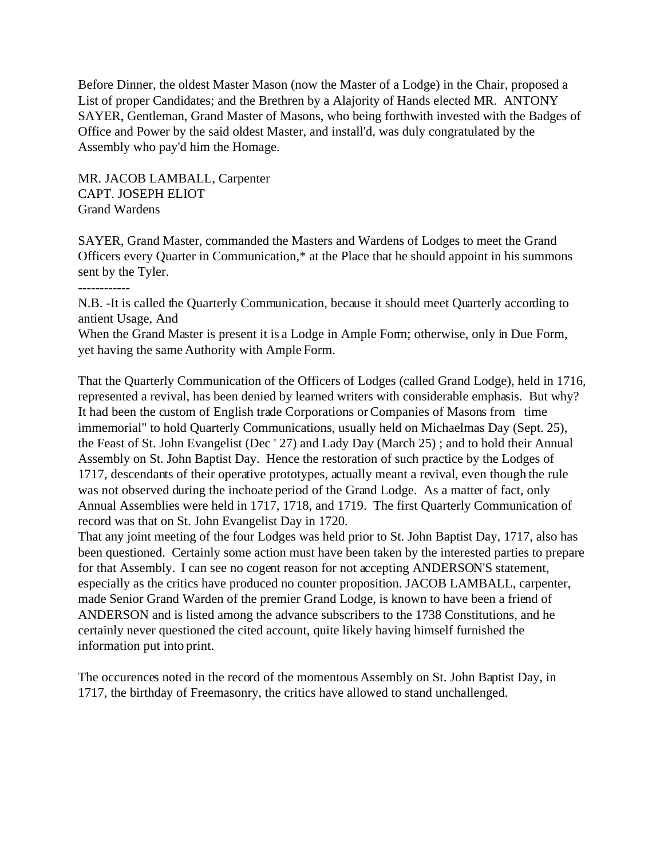Before Dinner, the oldest Master Mason (now the Master of a Lodge) in the Chair, proposed a List of proper Candidates; and the Brethren by a Alajority of Hands elected MR. ANTONY SAYER, Gentleman, Grand Master of Masons, who being forthwith invested with the Badges of Office and Power by the said oldest Master, and install'd, was duly congratulated by the Assembly who pay'd him the Homage.

MR. JACOB LAMBALL, Carpenter CAPT. JOSEPH ELIOT Grand Wardens

SAYER, Grand Master, commanded the Masters and Wardens of Lodges to meet the Grand Officers every Quarter in Communication,\* at the Place that he should appoint in his summons sent by the Tyler.

------------

N.B. -It is called the Quarterly Communication, because it should meet Quarterly according to antient Usage, And

When the Grand Master is present it is a Lodge in Ample Form; otherwise, only in Due Form, yet having the same Authority with Ample Form.

That the Quarterly Communication of the Officers of Lodges (called Grand Lodge), held in 1716, represented a revival, has been denied by learned writers with considerable emphasis. But why? It had been the custom of English trade Corporations or Companies of Masons from time immemorial" to hold Quarterly Communications, usually held on Michaelmas Day (Sept. 25), the Feast of St. John Evangelist (Dec ' 27) and Lady Day (March 25) ; and to hold their Annual Assembly on St. John Baptist Day. Hence the restoration of such practice by the Lodges of 1717, descendants of their operative prototypes, actually meant a revival, even though the rule was not observed during the inchoate period of the Grand Lodge. As a matter of fact, only Annual Assemblies were held in 1717, 1718, and 1719. The first Quarterly Communication of record was that on St. John Evangelist Day in 1720.

That any joint meeting of the four Lodges was held prior to St. John Baptist Day, 1717, also has been questioned. Certainly some action must have been taken by the interested parties to prepare for that Assembly. I can see no cogent reason for not accepting ANDERSON'S statement, especially as the critics have produced no counter proposition. JACOB LAMBALL, carpenter, made Senior Grand Warden of the premier Grand Lodge, is known to have been a friend of ANDERSON and is listed among the advance subscribers to the 1738 Constitutions, and he certainly never questioned the cited account, quite likely having himself furnished the information put into print.

The occurences noted in the record of the momentous Assembly on St. John Baptist Day, in 1717, the birthday of Freemasonry, the critics have allowed to stand unchallenged.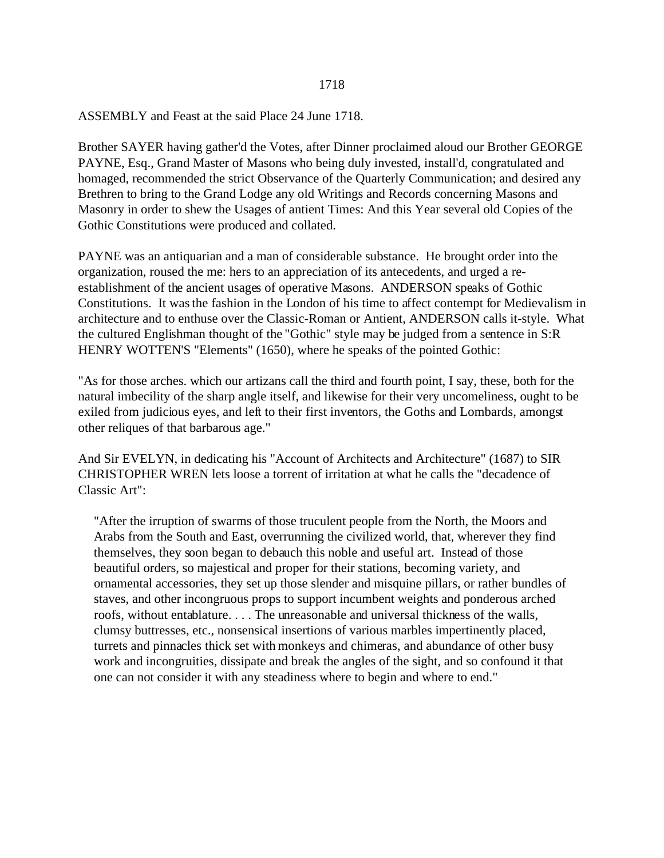#### 1718

ASSEMBLY and Feast at the said Place 24 June 1718.

Brother SAYER having gather'd the Votes, after Dinner proclaimed aloud our Brother GEORGE PAYNE, Esq., Grand Master of Masons who being duly invested, install'd, congratulated and homaged, recommended the strict Observance of the Quarterly Communication; and desired any Brethren to bring to the Grand Lodge any old Writings and Records concerning Masons and Masonry in order to shew the Usages of antient Times: And this Year several old Copies of the Gothic Constitutions were produced and collated.

PAYNE was an antiquarian and a man of considerable substance. He brought order into the organization, roused the me: hers to an appreciation of its antecedents, and urged a reestablishment of the ancient usages of operative Masons. ANDERSON speaks of Gothic Constitutions. It was the fashion in the London of his time to affect contempt for Medievalism in architecture and to enthuse over the Classic-Roman or Antient, ANDERSON calls it-style. What the cultured Englishman thought of the "Gothic" style may be judged from a sentence in S:R HENRY WOTTEN'S "Elements" (1650), where he speaks of the pointed Gothic:

"As for those arches. which our artizans call the third and fourth point, I say, these, both for the natural imbecility of the sharp angle itself, and likewise for their very uncomeliness, ought to be exiled from judicious eyes, and left to their first inventors, the Goths and Lombards, amongst other reliques of that barbarous age."

And Sir EVELYN, in dedicating his "Account of Architects and Architecture" (1687) to SIR CHRISTOPHER WREN lets loose a torrent of irritation at what he calls the "decadence of Classic Art":

"After the irruption of swarms of those truculent people from the North, the Moors and Arabs from the South and East, overrunning the civilized world, that, wherever they find themselves, they soon began to debauch this noble and useful art. Instead of those beautiful orders, so majestical and proper for their stations, becoming variety, and ornamental accessories, they set up those slender and misquine pillars, or rather bundles of staves, and other incongruous props to support incumbent weights and ponderous arched roofs, without entablature. . . . The unreasonable and universal thickness of the walls, clumsy buttresses, etc., nonsensical insertions of various marbles impertinently placed, turrets and pinnacles thick set with monkeys and chimeras, and abundance of other busy work and incongruities, dissipate and break the angles of the sight, and so confound it that one can not consider it with any steadiness where to begin and where to end."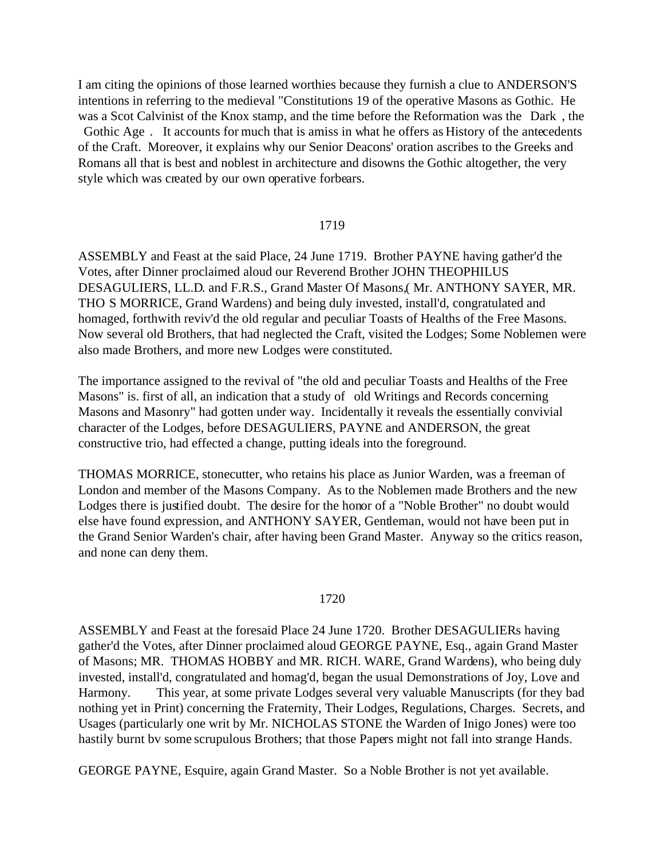I am citing the opinions of those learned worthies because they furnish a clue to ANDERSON'S intentions in referring to the medieval "Constitutions 19 of the operative Masons as Gothic. He was a Scot Calvinist of the Knox stamp, and the time before the Reformation was the Dark , the Gothic Age. It accounts for much that is amiss in what he offers as History of the antecedents of the Craft. Moreover, it explains why our Senior Deacons' oration ascribes to the Greeks and Romans all that is best and noblest in architecture and disowns the Gothic altogether, the very style which was created by our own operative forbears.

#### 1719

ASSEMBLY and Feast at the said Place, 24 June 1719. Brother PAYNE having gather'd the Votes, after Dinner proclaimed aloud our Reverend Brother JOHN THEOPHILUS DESAGULIERS, LL.D. and F.R.S., Grand Master Of Masons,( Mr. ANTHONY SAYER, MR. THO S MORRICE, Grand Wardens) and being duly invested, install'd, congratulated and homaged, forthwith reviv'd the old regular and peculiar Toasts of Healths of the Free Masons. Now several old Brothers, that had neglected the Craft, visited the Lodges; Some Noblemen were also made Brothers, and more new Lodges were constituted.

The importance assigned to the revival of "the old and peculiar Toasts and Healths of the Free Masons" is. first of all, an indication that a study of old Writings and Records concerning Masons and Masonry" had gotten under way. Incidentally it reveals the essentially convivial character of the Lodges, before DESAGULIERS, PAYNE and ANDERSON, the great constructive trio, had effected a change, putting ideals into the foreground.

THOMAS MORRICE, stonecutter, who retains his place as Junior Warden, was a freeman of London and member of the Masons Company. As to the Noblemen made Brothers and the new Lodges there is justified doubt. The desire for the honor of a "Noble Brother" no doubt would else have found expression, and ANTHONY SAYER, Gentleman, would not have been put in the Grand Senior Warden's chair, after having been Grand Master. Anyway so the critics reason, and none can deny them.

#### 1720

ASSEMBLY and Feast at the foresaid Place 24 June 1720. Brother DESAGULIERs having gather'd the Votes, after Dinner proclaimed aloud GEORGE PAYNE, Esq., again Grand Master of Masons; MR. THOMAS HOBBY and MR. RICH. WARE, Grand Wardens), who being duly invested, install'd, congratulated and homag'd, began the usual Demonstrations of Joy, Love and Harmony. This year, at some private Lodges several very valuable Manuscripts (for they bad nothing yet in Print) concerning the Fraternity, Their Lodges, Regulations, Charges. Secrets, and Usages (particularly one writ by Mr. NICHOLAS STONE the Warden of Inigo Jones) were too hastily burnt bv some scrupulous Brothers; that those Papers might not fall into strange Hands.

GEORGE PAYNE, Esquire, again Grand Master. So a Noble Brother is not yet available.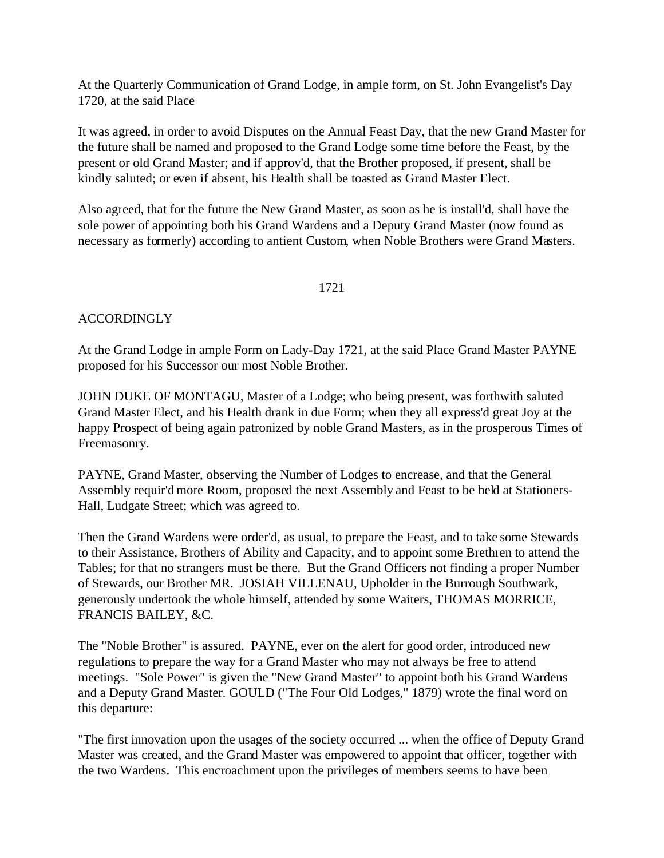At the Quarterly Communication of Grand Lodge, in ample form, on St. John Evangelist's Day 1720, at the said Place

It was agreed, in order to avoid Disputes on the Annual Feast Day, that the new Grand Master for the future shall be named and proposed to the Grand Lodge some time before the Feast, by the present or old Grand Master; and if approv'd, that the Brother proposed, if present, shall be kindly saluted; or even if absent, his Health shall be toasted as Grand Master Elect.

Also agreed, that for the future the New Grand Master, as soon as he is install'd, shall have the sole power of appointing both his Grand Wardens and a Deputy Grand Master (now found as necessary as formerly) according to antient Custom, when Noble Brothers were Grand Masters.

#### 1721

## ACCORDINGLY

At the Grand Lodge in ample Form on Lady-Day 1721, at the said Place Grand Master PAYNE proposed for his Successor our most Noble Brother.

JOHN DUKE OF MONTAGU, Master of a Lodge; who being present, was forthwith saluted Grand Master Elect, and his Health drank in due Form; when they all express'd great Joy at the happy Prospect of being again patronized by noble Grand Masters, as in the prosperous Times of Freemasonry.

PAYNE, Grand Master, observing the Number of Lodges to encrease, and that the General Assembly requir'd more Room, proposed the next Assembly and Feast to be held at Stationers-Hall, Ludgate Street; which was agreed to.

Then the Grand Wardens were order'd, as usual, to prepare the Feast, and to take some Stewards to their Assistance, Brothers of Ability and Capacity, and to appoint some Brethren to attend the Tables; for that no strangers must be there. But the Grand Officers not finding a proper Number of Stewards, our Brother MR. JOSIAH VILLENAU, Upholder in the Burrough Southwark, generously undertook the whole himself, attended by some Waiters, THOMAS MORRICE, FRANCIS BAILEY, &C.

The "Noble Brother" is assured. PAYNE, ever on the alert for good order, introduced new regulations to prepare the way for a Grand Master who may not always be free to attend meetings. "Sole Power" is given the "New Grand Master" to appoint both his Grand Wardens and a Deputy Grand Master. GOULD ("The Four Old Lodges," 1879) wrote the final word on this departure:

"The first innovation upon the usages of the society occurred ... when the office of Deputy Grand Master was created, and the Grand Master was empowered to appoint that officer, together with the two Wardens. This encroachment upon the privileges of members seems to have been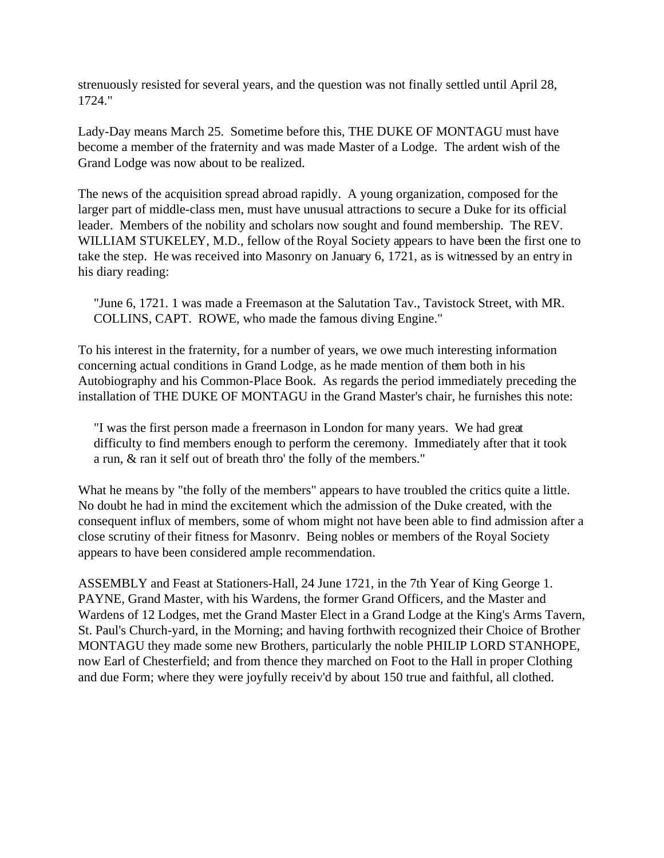strenuously resisted for several years, and the question was not finally settled until April 28, 1724."

Lady-Day means March 25. Sometime before this, THE DUKE OF MONTAGU must have become a member of the fraternity and was made Master of a Lodge. The ardent wish of the Grand Lodge was now about to be realized.

The news of the acquisition spread abroad rapidly. A young organization, composed for the larger part of middle-class men, must have unusual attractions to secure a Duke for its official leader. Members of the nobility and scholars now sought and found membership. The REV. WILLIAM STUKELEY, M.D., fellow of the Royal Society appears to have been the first one to take the step. He was received into Masonry on January 6, 1721, as is witnessed by an entry in his diary reading:

"June 6, 1721. 1 was made a Freemason at the Salutation Tav., Tavistock Street, with MR. COLLINS, CAPT. ROWE, who made the famous diving Engine."

To his interest in the fraternity, for a number of years, we owe much interesting information concerning actual conditions in Grand Lodge, as he made mention of them both in his Autobiography and his Common-Place Book. As regards the period immediately preceding the installation of THE DUKE OF MONTAGU in the Grand Master's chair, he furnishes this note:

"I was the first person made a freernason in London for many years. We had great difficulty to find members enough to perform the ceremony. Immediately after that it took a run, & ran it self out of breath thro' the folly of the members."

What he means by "the folly of the members" appears to have troubled the critics quite a little. No doubt he had in mind the excitement which the admission of the Duke created, with the consequent influx of members, some of whom might not have been able to find admission after a close scrutiny of their fitness for Masonrv. Being nobles or members of the Royal Society appears to have been considered ample recommendation.

ASSEMBLY and Feast at Stationers-Hall, 24 June 1721, in the 7th Year of King George 1. PAYNE, Grand Master, with his Wardens, the former Grand Officers, and the Master and Wardens of 12 Lodges, met the Grand Master Elect in a Grand Lodge at the King's Arms Tavern, St. Paul's Church-yard, in the Morning; and having forthwith recognized their Choice of Brother MONTAGU they made some new Brothers, particularly the noble PHILIP LORD STANHOPE, now Earl of Chesterfield; and from thence they marched on Foot to the Hall in proper Clothing and due Form; where they were joyfully receiv'd by about 150 true and faithful, all clothed.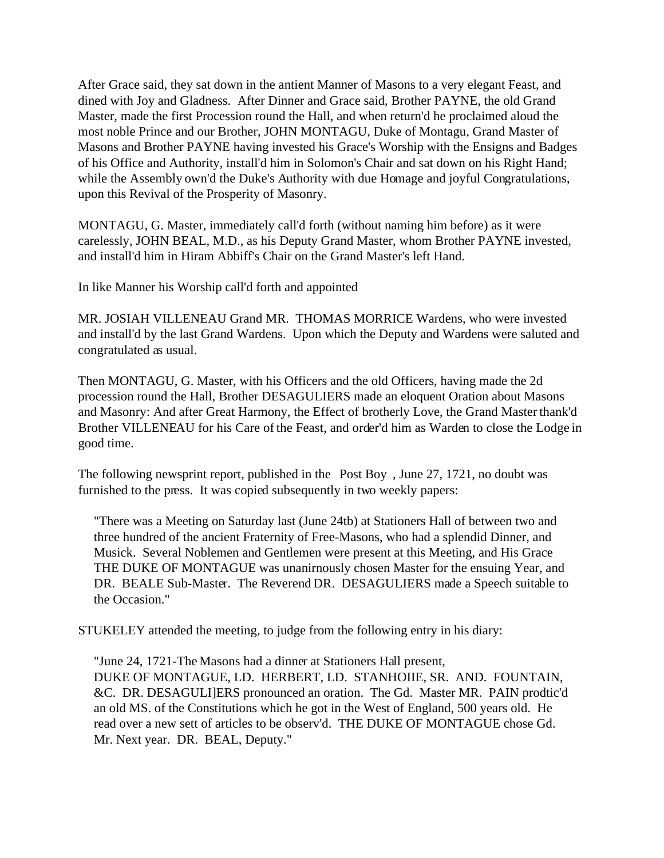After Grace said, they sat down in the antient Manner of Masons to a very elegant Feast, and dined with Joy and Gladness. After Dinner and Grace said, Brother PAYNE, the old Grand Master, made the first Procession round the Hall, and when return'd he proclaimed aloud the most noble Prince and our Brother, JOHN MONTAGU, Duke of Montagu, Grand Master of Masons and Brother PAYNE having invested his Grace's Worship with the Ensigns and Badges of his Office and Authority, install'd him in Solomon's Chair and sat down on his Right Hand; while the Assembly own'd the Duke's Authority with due Homage and joyful Congratulations, upon this Revival of the Prosperity of Masonry.

MONTAGU, G. Master, immediately call'd forth (without naming him before) as it were carelessly, JOHN BEAL, M.D., as his Deputy Grand Master, whom Brother PAYNE invested, and install'd him in Hiram Abbiff's Chair on the Grand Master's left Hand.

In like Manner his Worship call'd forth and appointed

MR. JOSIAH VILLENEAU Grand MR. THOMAS MORRICE Wardens, who were invested and install'd by the last Grand Wardens. Upon which the Deputy and Wardens were saluted and congratulated as usual.

Then MONTAGU, G. Master, with his Officers and the old Officers, having made the 2d procession round the Hall, Brother DESAGULIERS made an eloquent Oration about Masons and Masonry: And after Great Harmony, the Effect of brotherly Love, the Grand Master thank'd Brother VILLENEAU for his Care of the Feast, and order'd him as Warden to close the Lodge in good time.

The following newsprint report, published in the Post Boy, June 27, 1721, no doubt was furnished to the press. It was copied subsequently in two weekly papers:

"There was a Meeting on Saturday last (June 24tb) at Stationers Hall of between two and three hundred of the ancient Fraternity of Free-Masons, who had a splendid Dinner, and Musick. Several Noblemen and Gentlemen were present at this Meeting, and His Grace THE DUKE OF MONTAGUE was unanirnously chosen Master for the ensuing Year, and DR. BEALE Sub-Master. The Reverend DR. DESAGULIERS made a Speech suitable to the Occasion."

STUKELEY attended the meeting, to judge from the following entry in his diary:

"June 24, 1721-The Masons had a dinner at Stationers Hall present, DUKE OF MONTAGUE, LD. HERBERT, LD. STANHOIIE, SR. AND. FOUNTAIN, &C. DR. DESAGULI]ERS pronounced an oration. The Gd. Master MR. PAIN prodtic'd an old MS. of the Constitutions which he got in the West of England, 500 years old. He read over a new sett of articles to be observ'd. THE DUKE OF MONTAGUE chose Gd. Mr. Next year. DR. BEAL, Deputy."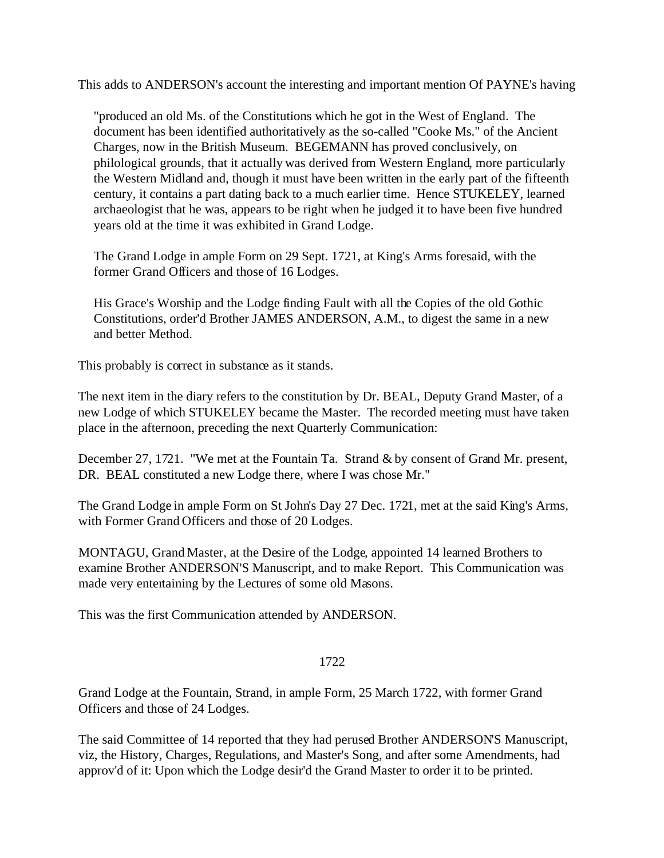This adds to ANDERSON's account the interesting and important mention Of PAYNE's having

"produced an old Ms. of the Constitutions which he got in the West of England. The document has been identified authoritatively as the so-called "Cooke Ms." of the Ancient Charges, now in the British Museum. BEGEMANN has proved conclusively, on philological grounds, that it actually was derived from Western England, more particularly the Western Midland and, though it must have been written in the early part of the fifteenth century, it contains a part dating back to a much earlier time. Hence STUKELEY, learned archaeologist that he was, appears to be right when he judged it to have been five hundred years old at the time it was exhibited in Grand Lodge.

The Grand Lodge in ample Form on 29 Sept. 1721, at King's Arms foresaid, with the former Grand Officers and those of 16 Lodges.

His Grace's Worship and the Lodge finding Fault with all the Copies of the old Gothic Constitutions, order'd Brother JAMES ANDERSON, A.M., to digest the same in a new and better Method.

This probably is correct in substance as it stands.

The next item in the diary refers to the constitution by Dr. BEAL, Deputy Grand Master, of a new Lodge of which STUKELEY became the Master. The recorded meeting must have taken place in the afternoon, preceding the next Quarterly Communication:

December 27, 1721. "We met at the Fountain Ta. Strand & by consent of Grand Mr. present, DR. BEAL constituted a new Lodge there, where I was chose Mr."

The Grand Lodge in ample Form on St John's Day 27 Dec. 1721, met at the said King's Arms, with Former Grand Officers and those of 20 Lodges.

MONTAGU, Grand Master, at the Desire of the Lodge, appointed 14 learned Brothers to examine Brother ANDERSON'S Manuscript, and to make Report. This Communication was made very entertaining by the Lectures of some old Masons.

This was the first Communication attended by ANDERSON.

## 1722

Grand Lodge at the Fountain, Strand, in ample Form, 25 March 1722, with former Grand Officers and those of 24 Lodges.

The said Committee of 14 reported that they had perused Brother ANDERSON'S Manuscript, viz, the History, Charges, Regulations, and Master's Song, and after some Amendments, had approv'd of it: Upon which the Lodge desir'd the Grand Master to order it to be printed.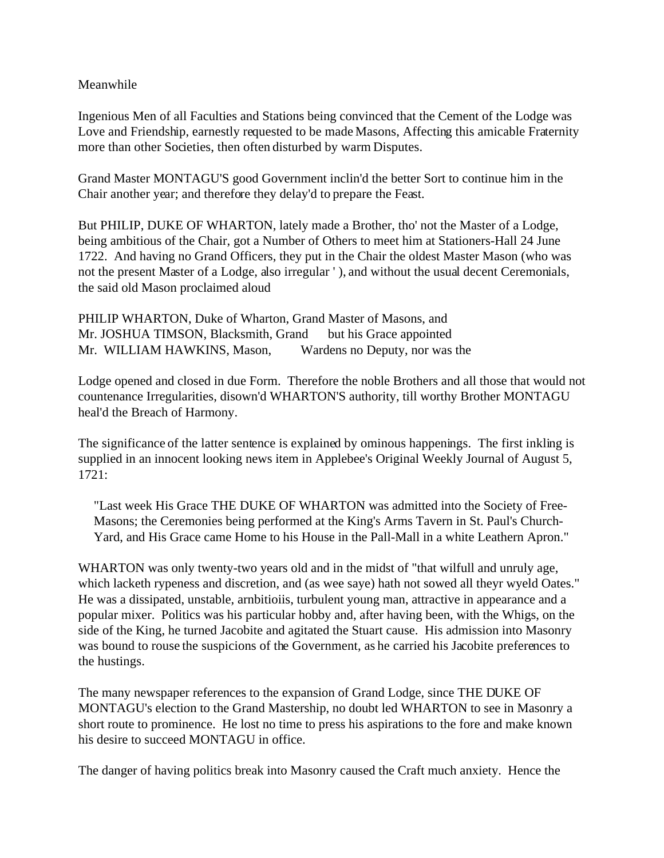Meanwhile

Ingenious Men of all Faculties and Stations being convinced that the Cement of the Lodge was Love and Friendship, earnestly requested to be made Masons, Affecting this amicable Fraternity more than other Societies, then often disturbed by warm Disputes.

Grand Master MONTAGU'S good Government inclin'd the better Sort to continue him in the Chair another year; and therefore they delay'd to prepare the Feast.

But PHILIP, DUKE OF WHARTON, lately made a Brother, tho' not the Master of a Lodge, being ambitious of the Chair, got a Number of Others to meet him at Stationers-Hall 24 June 1722. And having no Grand Officers, they put in the Chair the oldest Master Mason (who was not the present Master of a Lodge, also irregular ' ), and without the usual decent Ceremonials, the said old Mason proclaimed aloud

PHILIP WHARTON, Duke of Wharton, Grand Master of Masons, and Mr. JOSHUA TIMSON, Blacksmith, Grand but his Grace appointed Mr. WILLIAM HAWKINS, Mason, Wardens no Deputy, nor was the

Lodge opened and closed in due Form. Therefore the noble Brothers and all those that would not countenance Irregularities, disown'd WHARTON'S authority, till worthy Brother MONTAGU heal'd the Breach of Harmony.

The significance of the latter sentence is explained by ominous happenings. The first inkling is supplied in an innocent looking news item in Applebee's Original Weekly Journal of August 5, 1721:

"Last week His Grace THE DUKE OF WHARTON was admitted into the Society of Free-Masons; the Ceremonies being performed at the King's Arms Tavern in St. Paul's Church-Yard, and His Grace came Home to his House in the Pall-Mall in a white Leathern Apron."

WHARTON was only twenty-two years old and in the midst of "that wilfull and unruly age, which lacketh rypeness and discretion, and (as wee saye) hath not sowed all theyr wyeld Oates." He was a dissipated, unstable, arnbitioiis, turbulent young man, attractive in appearance and a popular mixer. Politics was his particular hobby and, after having been, with the Whigs, on the side of the King, he turned Jacobite and agitated the Stuart cause. His admission into Masonry was bound to rouse the suspicions of the Government, as he carried his Jacobite preferences to the hustings.

The many newspaper references to the expansion of Grand Lodge, since THE DUKE OF MONTAGU's election to the Grand Mastership, no doubt led WHARTON to see in Masonry a short route to prominence. He lost no time to press his aspirations to the fore and make known his desire to succeed MONTAGU in office.

The danger of having politics break into Masonry caused the Craft much anxiety. Hence the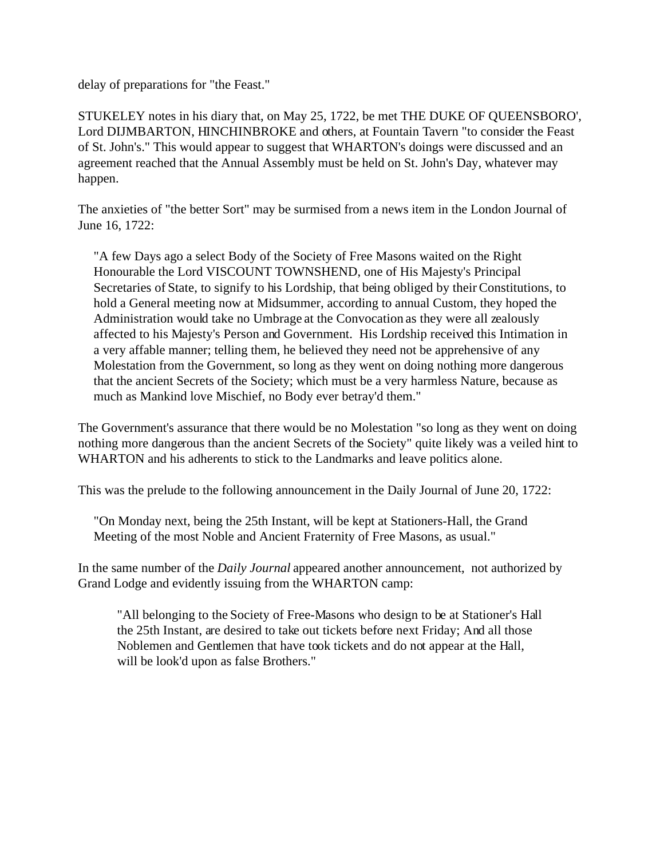delay of preparations for "the Feast."

STUKELEY notes in his diary that, on May 25, 1722, be met THE DUKE OF QUEENSBORO', Lord DIJMBARTON, HINCHINBROKE and others, at Fountain Tavern "to consider the Feast of St. John's." This would appear to suggest that WHARTON's doings were discussed and an agreement reached that the Annual Assembly must be held on St. John's Day, whatever may happen.

The anxieties of "the better Sort" may be surmised from a news item in the London Journal of June 16, 1722:

"A few Days ago a select Body of the Society of Free Masons waited on the Right Honourable the Lord VISCOUNT TOWNSHEND, one of His Majesty's Principal Secretaries of State, to signify to his Lordship, that being obliged by their Constitutions, to hold a General meeting now at Midsummer, according to annual Custom, they hoped the Administration would take no Umbrage at the Convocation as they were all zealously affected to his Majesty's Person and Government. His Lordship received this Intimation in a very affable manner; telling them, he believed they need not be apprehensive of any Molestation from the Government, so long as they went on doing nothing more dangerous that the ancient Secrets of the Society; which must be a very harmless Nature, because as much as Mankind love Mischief, no Body ever betray'd them."

The Government's assurance that there would be no Molestation "so long as they went on doing nothing more dangerous than the ancient Secrets of the Society" quite likely was a veiled hint to WHARTON and his adherents to stick to the Landmarks and leave politics alone.

This was the prelude to the following announcement in the Daily Journal of June 20, 1722:

"On Monday next, being the 25th Instant, will be kept at Stationers-Hall, the Grand Meeting of the most Noble and Ancient Fraternity of Free Masons, as usual."

In the same number of the *Daily Journal* appeared another announcement, not authorized by Grand Lodge and evidently issuing from the WHARTON camp:

"All belonging to the Society of Free-Masons who design to be at Stationer's Hall the 25th Instant, are desired to take out tickets before next Friday; And all those Noblemen and Gentlemen that have took tickets and do not appear at the Hall, will be look'd upon as false Brothers."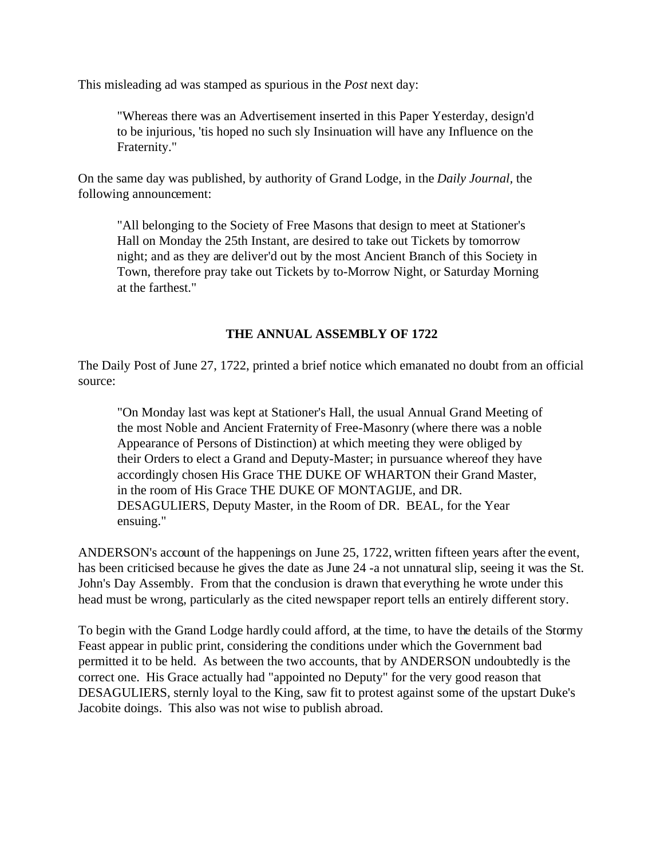This misleading ad was stamped as spurious in the *Post* next day:

"Whereas there was an Advertisement inserted in this Paper Yesterday, design'd to be injurious, 'tis hoped no such sly Insinuation will have any Influence on the Fraternity."

On the same day was published, by authority of Grand Lodge, in the *Daily Journal,* the following announcement:

"All belonging to the Society of Free Masons that design to meet at Stationer's Hall on Monday the 25th Instant, are desired to take out Tickets by tomorrow night; and as they are deliver'd out by the most Ancient Branch of this Society in Town, therefore pray take out Tickets by to-Morrow Night, or Saturday Morning at the farthest."

## **THE ANNUAL ASSEMBLY OF 1722**

The Daily Post of June 27, 1722, printed a brief notice which emanated no doubt from an official source:

"On Monday last was kept at Stationer's Hall, the usual Annual Grand Meeting of the most Noble and Ancient Fraternity of Free-Masonry (where there was a noble Appearance of Persons of Distinction) at which meeting they were obliged by their Orders to elect a Grand and Deputy-Master; in pursuance whereof they have accordingly chosen His Grace THE DUKE OF WHARTON their Grand Master, in the room of His Grace THE DUKE OF MONTAGIJE, and DR. DESAGULIERS, Deputy Master, in the Room of DR. BEAL, for the Year ensuing."

ANDERSON's account of the happenings on June 25, 1722, written fifteen years after the event, has been criticised because he gives the date as June 24 -a not unnatural slip, seeing it was the St. John's Day Assembly. From that the conclusion is drawn that everything he wrote under this head must be wrong, particularly as the cited newspaper report tells an entirely different story.

To begin with the Grand Lodge hardly could afford, at the time, to have the details of the Stormy Feast appear in public print, considering the conditions under which the Government bad permitted it to be held. As between the two accounts, that by ANDERSON undoubtedly is the correct one. His Grace actually had "appointed no Deputy" for the very good reason that DESAGULIERS, sternly loyal to the King, saw fit to protest against some of the upstart Duke's Jacobite doings. This also was not wise to publish abroad.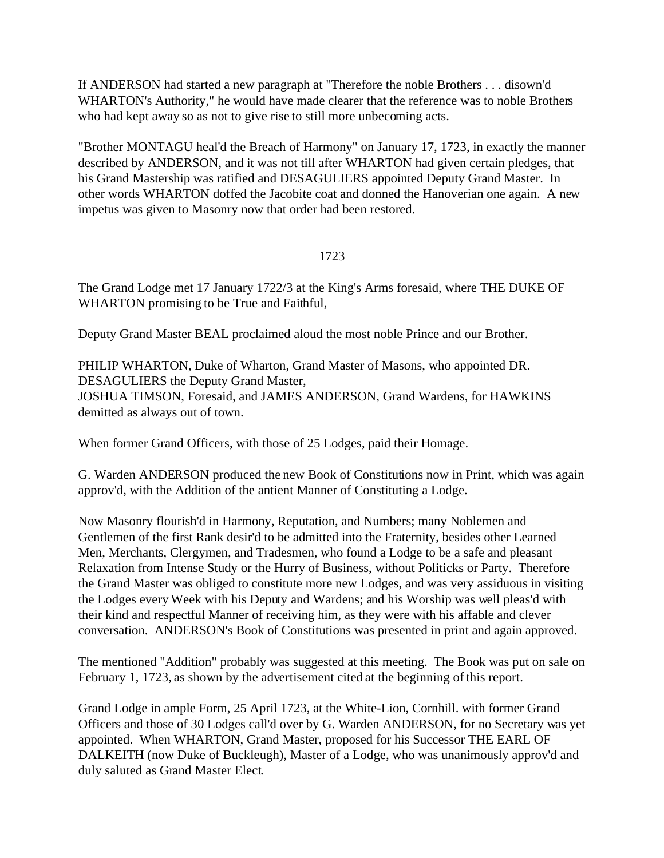If ANDERSON had started a new paragraph at "Therefore the noble Brothers . . . disown'd WHARTON's Authority," he would have made clearer that the reference was to noble Brothers who had kept away so as not to give rise to still more unbecoming acts.

"Brother MONTAGU heal'd the Breach of Harmony" on January 17, 1723, in exactly the manner described by ANDERSON, and it was not till after WHARTON had given certain pledges, that his Grand Mastership was ratified and DESAGULIERS appointed Deputy Grand Master. In other words WHARTON doffed the Jacobite coat and donned the Hanoverian one again. A new impetus was given to Masonry now that order had been restored.

### 1723

The Grand Lodge met 17 January 1722/3 at the King's Arms foresaid, where THE DUKE OF WHARTON promising to be True and Faithful,

Deputy Grand Master BEAL proclaimed aloud the most noble Prince and our Brother.

PHILIP WHARTON, Duke of Wharton, Grand Master of Masons, who appointed DR. DESAGULIERS the Deputy Grand Master, JOSHUA TIMSON, Foresaid, and JAMES ANDERSON, Grand Wardens, for HAWKINS demitted as always out of town.

When former Grand Officers, with those of 25 Lodges, paid their Homage.

G. Warden ANDERSON produced the new Book of Constitutions now in Print, which was again approv'd, with the Addition of the antient Manner of Constituting a Lodge.

Now Masonry flourish'd in Harmony, Reputation, and Numbers; many Noblemen and Gentlemen of the first Rank desir'd to be admitted into the Fraternity, besides other Learned Men, Merchants, Clergymen, and Tradesmen, who found a Lodge to be a safe and pleasant Relaxation from Intense Study or the Hurry of Business, without Politicks or Party. Therefore the Grand Master was obliged to constitute more new Lodges, and was very assiduous in visiting the Lodges every Week with his Deputy and Wardens; and his Worship was well pleas'd with their kind and respectful Manner of receiving him, as they were with his affable and clever conversation. ANDERSON's Book of Constitutions was presented in print and again approved.

The mentioned "Addition" probably was suggested at this meeting. The Book was put on sale on February 1, 1723, as shown by the advertisement cited at the beginning of this report.

Grand Lodge in ample Form, 25 April 1723, at the White-Lion, Cornhill. with former Grand Officers and those of 30 Lodges call'd over by G. Warden ANDERSON, for no Secretary was yet appointed. When WHARTON, Grand Master, proposed for his Successor THE EARL OF DALKEITH (now Duke of Buckleugh), Master of a Lodge, who was unanimously approv'd and duly saluted as Grand Master Elect.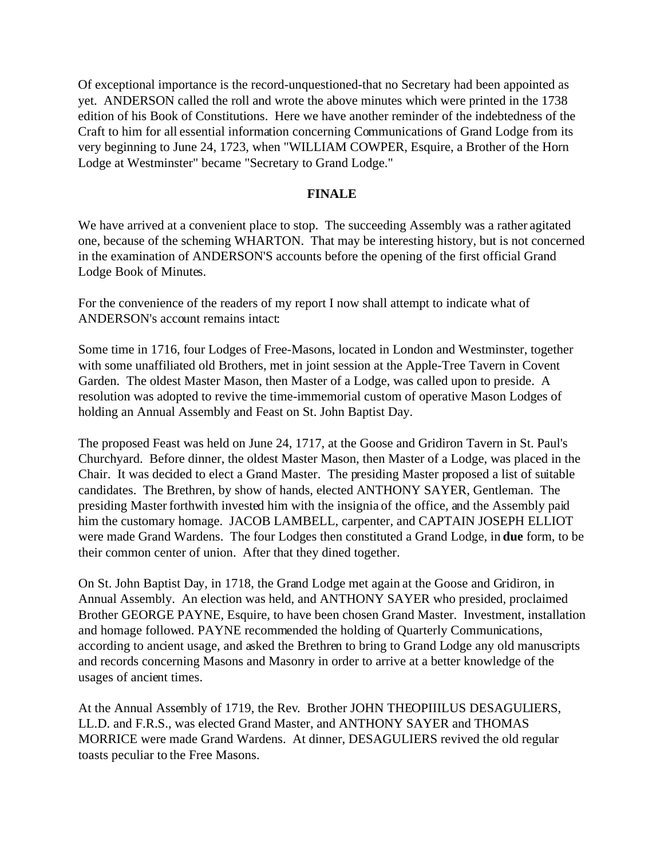Of exceptional importance is the record-unquestioned-that no Secretary had been appointed as yet. ANDERSON called the roll and wrote the above minutes which were printed in the 1738 edition of his Book of Constitutions. Here we have another reminder of the indebtedness of the Craft to him for all essential information concerning Communications of Grand Lodge from its very beginning to June 24, 1723, when "WILLIAM COWPER, Esquire, a Brother of the Horn Lodge at Westminster" became "Secretary to Grand Lodge."

### **FINALE**

We have arrived at a convenient place to stop. The succeeding Assembly was a rather agitated one, because of the scheming WHARTON. That may be interesting history, but is not concerned in the examination of ANDERSON'S accounts before the opening of the first official Grand Lodge Book of Minutes.

For the convenience of the readers of my report I now shall attempt to indicate what of ANDERSON's account remains intact:

Some time in 1716, four Lodges of Free-Masons, located in London and Westminster, together with some unaffiliated old Brothers, met in joint session at the Apple-Tree Tavern in Covent Garden. The oldest Master Mason, then Master of a Lodge, was called upon to preside. A resolution was adopted to revive the time-immemorial custom of operative Mason Lodges of holding an Annual Assembly and Feast on St. John Baptist Day.

The proposed Feast was held on June 24, 1717, at the Goose and Gridiron Tavern in St. Paul's Churchyard. Before dinner, the oldest Master Mason, then Master of a Lodge, was placed in the Chair. It was decided to elect a Grand Master. The presiding Master proposed a list of suitable candidates. The Brethren, by show of hands, elected ANTHONY SAYER, Gentleman. The presiding Master forthwith invested him with the insignia of the office, and the Assembly paid him the customary homage. JACOB LAMBELL, carpenter, and CAPTAIN JOSEPH ELLIOT were made Grand Wardens. The four Lodges then constituted a Grand Lodge, in **due** form, to be their common center of union. After that they dined together.

On St. John Baptist Day, in 1718, the Grand Lodge met again at the Goose and Gridiron, in Annual Assembly. An election was held, and ANTHONY SAYER who presided, proclaimed Brother GEORGE PAYNE, Esquire, to have been chosen Grand Master. Investment, installation and homage followed. PAYNE recommended the holding of Quarterly Communications, according to ancient usage, and asked the Brethren to bring to Grand Lodge any old manuscripts and records concerning Masons and Masonry in order to arrive at a better knowledge of the usages of ancient times.

At the Annual Assembly of 1719, the Rev. Brother JOHN THEOPIIILUS DESAGULIERS, LL.D. and F.R.S., was elected Grand Master, and ANTHONY SAYER and THOMAS MORRICE were made Grand Wardens. At dinner, DESAGULIERS revived the old regular toasts peculiar to the Free Masons.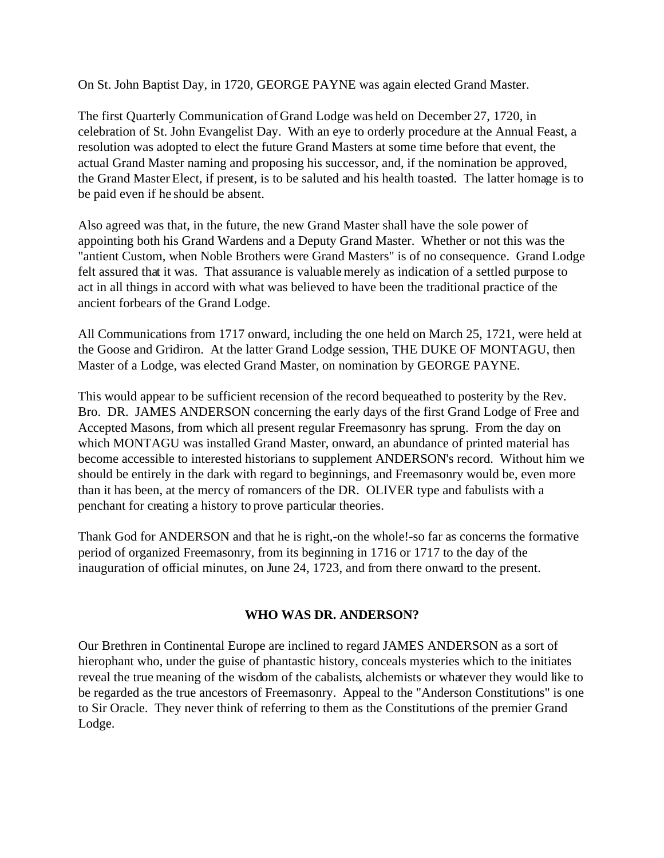On St. John Baptist Day, in 1720, GEORGE PAYNE was again elected Grand Master.

The first Quarterly Communication of Grand Lodge was held on December 27, 1720, in celebration of St. John Evangelist Day. With an eye to orderly procedure at the Annual Feast, a resolution was adopted to elect the future Grand Masters at some time before that event, the actual Grand Master naming and proposing his successor, and, if the nomination be approved, the Grand Master Elect, if present, is to be saluted and his health toasted. The latter homage is to be paid even if he should be absent.

Also agreed was that, in the future, the new Grand Master shall have the sole power of appointing both his Grand Wardens and a Deputy Grand Master. Whether or not this was the "antient Custom, when Noble Brothers were Grand Masters" is of no consequence. Grand Lodge felt assured that it was. That assurance is valuable merely as indication of a settled purpose to act in all things in accord with what was believed to have been the traditional practice of the ancient forbears of the Grand Lodge.

All Communications from 1717 onward, including the one held on March 25, 1721, were held at the Goose and Gridiron. At the latter Grand Lodge session, THE DUKE OF MONTAGU, then Master of a Lodge, was elected Grand Master, on nomination by GEORGE PAYNE.

This would appear to be sufficient recension of the record bequeathed to posterity by the Rev. Bro. DR. JAMES ANDERSON concerning the early days of the first Grand Lodge of Free and Accepted Masons, from which all present regular Freemasonry has sprung. From the day on which MONTAGU was installed Grand Master, onward, an abundance of printed material has become accessible to interested historians to supplement ANDERSON's record. Without him we should be entirely in the dark with regard to beginnings, and Freemasonry would be, even more than it has been, at the mercy of romancers of the DR. OLIVER type and fabulists with a penchant for creating a history to prove particular theories.

Thank God for ANDERSON and that he is right,-on the whole!-so far as concerns the formative period of organized Freemasonry, from its beginning in 1716 or 1717 to the day of the inauguration of official minutes, on June 24, 1723, and from there onward to the present.

## **WHO WAS DR. ANDERSON?**

Our Brethren in Continental Europe are inclined to regard JAMES ANDERSON as a sort of hierophant who, under the guise of phantastic history, conceals mysteries which to the initiates reveal the true meaning of the wisdom of the cabalists, alchemists or whatever they would like to be regarded as the true ancestors of Freemasonry. Appeal to the "Anderson Constitutions" is one to Sir Oracle. They never think of referring to them as the Constitutions of the premier Grand Lodge.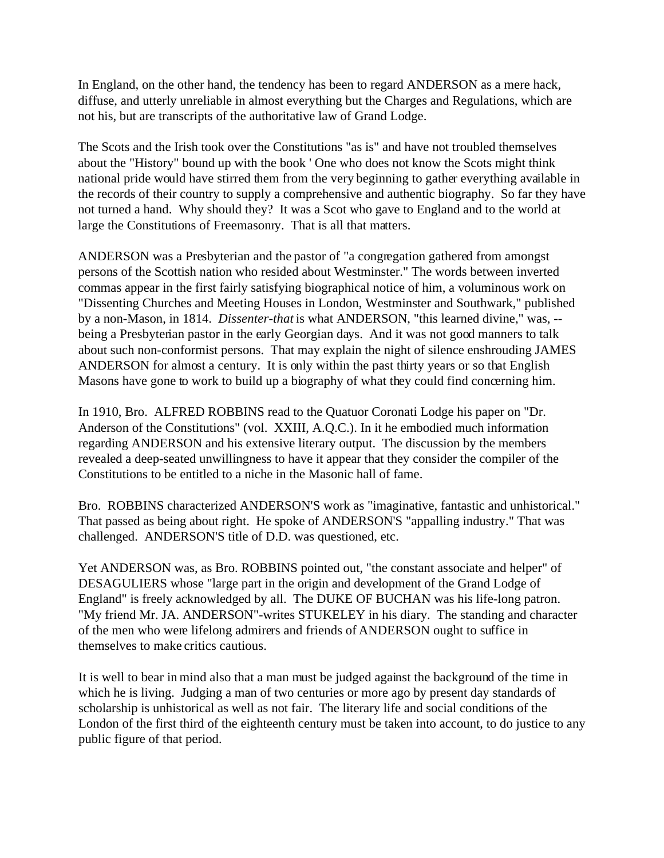In England, on the other hand, the tendency has been to regard ANDERSON as a mere hack, diffuse, and utterly unreliable in almost everything but the Charges and Regulations, which are not his, but are transcripts of the authoritative law of Grand Lodge.

The Scots and the Irish took over the Constitutions "as is" and have not troubled themselves about the "History" bound up with the book ' One who does not know the Scots might think national pride would have stirred them from the very beginning to gather everything available in the records of their country to supply a comprehensive and authentic biography. So far they have not turned a hand. Why should they? It was a Scot who gave to England and to the world at large the Constitutions of Freemasonry. That is all that matters.

ANDERSON was a Presbyterian and the pastor of "a congregation gathered from amongst persons of the Scottish nation who resided about Westminster." The words between inverted commas appear in the first fairly satisfying biographical notice of him, a voluminous work on "Dissenting Churches and Meeting Houses in London, Westminster and Southwark," published by a non-Mason, in 1814. *Dissenter-that* is what ANDERSON, "this learned divine," was, - being a Presbyterian pastor in the early Georgian days. And it was not good manners to talk about such non-conformist persons. That may explain the night of silence enshrouding JAMES ANDERSON for almost a century. It is only within the past thirty years or so that English Masons have gone to work to build up a biography of what they could find concerning him.

In 1910, Bro. ALFRED ROBBINS read to the Quatuor Coronati Lodge his paper on "Dr. Anderson of the Constitutions" (vol. XXIII, A.Q.C.). In it he embodied much information regarding ANDERSON and his extensive literary output. The discussion by the members revealed a deep-seated unwillingness to have it appear that they consider the compiler of the Constitutions to be entitled to a niche in the Masonic hall of fame.

Bro. ROBBINS characterized ANDERSON'S work as "imaginative, fantastic and unhistorical." That passed as being about right. He spoke of ANDERSON'S "appalling industry." That was challenged. ANDERSON'S title of D.D. was questioned, etc.

Yet ANDERSON was, as Bro. ROBBINS pointed out, "the constant associate and helper" of DESAGULIERS whose "large part in the origin and development of the Grand Lodge of England" is freely acknowledged by all. The DUKE OF BUCHAN was his life-long patron. "My friend Mr. JA. ANDERSON"-writes STUKELEY in his diary. The standing and character of the men who were lifelong admirers and friends of ANDERSON ought to suffice in themselves to make critics cautious.

It is well to bear in mind also that a man must be judged against the background of the time in which he is living. Judging a man of two centuries or more ago by present day standards of scholarship is unhistorical as well as not fair. The literary life and social conditions of the London of the first third of the eighteenth century must be taken into account, to do justice to any public figure of that period.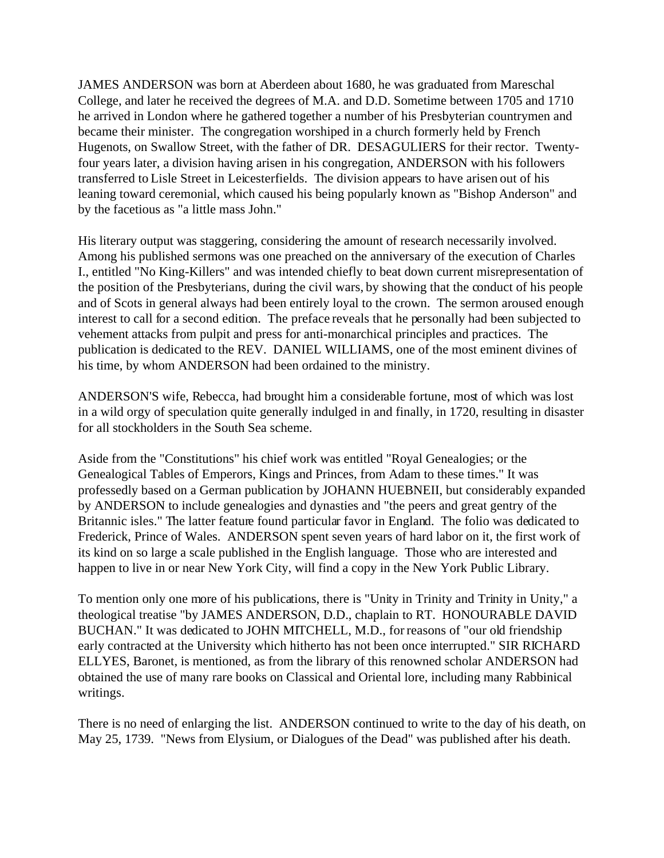JAMES ANDERSON was born at Aberdeen about 1680, he was graduated from Mareschal College, and later he received the degrees of M.A. and D.D. Sometime between 1705 and 1710 he arrived in London where he gathered together a number of his Presbyterian countrymen and became their minister. The congregation worshiped in a church formerly held by French Hugenots, on Swallow Street, with the father of DR. DESAGULIERS for their rector. Twentyfour years later, a division having arisen in his congregation, ANDERSON with his followers transferred to Lisle Street in Leicesterfields. The division appears to have arisen out of his leaning toward ceremonial, which caused his being popularly known as "Bishop Anderson" and by the facetious as "a little mass John."

His literary output was staggering, considering the amount of research necessarily involved. Among his published sermons was one preached on the anniversary of the execution of Charles I., entitled "No King-Killers" and was intended chiefly to beat down current misrepresentation of the position of the Presbyterians, during the civil wars, by showing that the conduct of his people and of Scots in general always had been entirely loyal to the crown. The sermon aroused enough interest to call for a second edition. The preface reveals that he personally had been subjected to vehement attacks from pulpit and press for anti-monarchical principles and practices. The publication is dedicated to the REV. DANIEL WILLIAMS, one of the most eminent divines of his time, by whom ANDERSON had been ordained to the ministry.

ANDERSON'S wife, Rebecca, had brought him a considerable fortune, most of which was lost in a wild orgy of speculation quite generally indulged in and finally, in 1720, resulting in disaster for all stockholders in the South Sea scheme.

Aside from the "Constitutions" his chief work was entitled "Royal Genealogies; or the Genealogical Tables of Emperors, Kings and Princes, from Adam to these times." It was professedly based on a German publication by JOHANN HUEBNEII, but considerably expanded by ANDERSON to include genealogies and dynasties and "the peers and great gentry of the Britannic isles." The latter feature found particular favor in England. The folio was dedicated to Frederick, Prince of Wales. ANDERSON spent seven years of hard labor on it, the first work of its kind on so large a scale published in the English language. Those who are interested and happen to live in or near New York City, will find a copy in the New York Public Library.

To mention only one more of his publications, there is "Unity in Trinity and Trinity in Unity," a theological treatise "by JAMES ANDERSON, D.D., chaplain to RT. HONOURABLE DAVID BUCHAN." It was dedicated to JOHN MITCHELL, M.D., for reasons of "our old friendship early contracted at the University which hitherto has not been once interrupted." SIR RICHARD ELLYES, Baronet, is mentioned, as from the library of this renowned scholar ANDERSON had obtained the use of many rare books on Classical and Oriental lore, including many Rabbinical writings.

There is no need of enlarging the list. ANDERSON continued to write to the day of his death, on May 25, 1739. "News from Elysium, or Dialogues of the Dead" was published after his death.